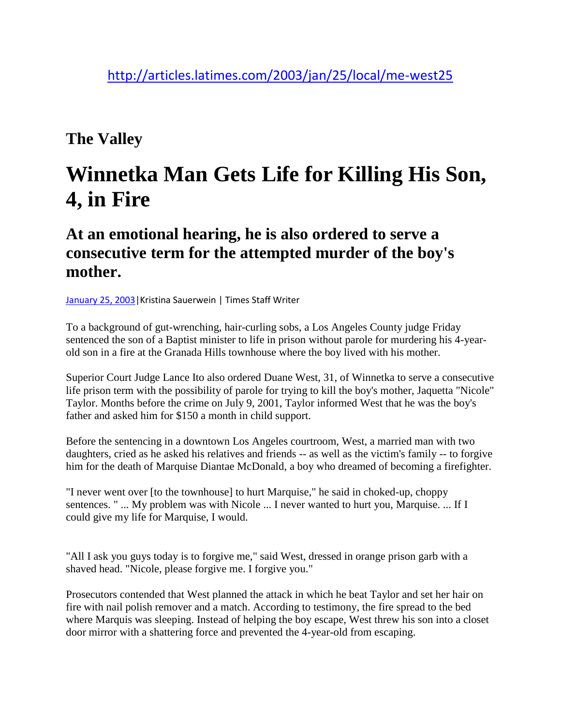## **The Valley**

## **Winnetka Man Gets Life for Killing His Son, 4, in Fire**

## **At an emotional hearing, he is also ordered to serve a consecutive term for the attempted murder of the boy's mother.**

[January 25, 2003|](http://articles.latimes.com/2003/jan/25)Kristina Sauerwein | Times Staff Writer

To a background of gut-wrenching, hair-curling sobs, a Los Angeles County judge Friday sentenced the son of a Baptist minister to life in prison without parole for murdering his 4-yearold son in a fire at the Granada Hills townhouse where the boy lived with his mother.

Superior Court Judge Lance Ito also ordered Duane West, 31, of Winnetka to serve a consecutive life prison term with the possibility of parole for trying to kill the boy's mother, Jaquetta "Nicole" Taylor. Months before the crime on July 9, 2001, Taylor informed West that he was the boy's father and asked him for \$150 a month in child support.

Before the sentencing in a downtown Los Angeles courtroom, West, a married man with two daughters, cried as he asked his relatives and friends -- as well as the victim's family -- to forgive him for the death of Marquise Diantae McDonald, a boy who dreamed of becoming a firefighter.

"I never went over [to the townhouse] to hurt Marquise," he said in choked-up, choppy sentences. " ... My problem was with Nicole ... I never wanted to hurt you, Marquise. ... If I could give my life for Marquise, I would.

"All I ask you guys today is to forgive me," said West, dressed in orange prison garb with a shaved head. "Nicole, please forgive me. I forgive you."

Prosecutors contended that West planned the attack in which he beat Taylor and set her hair on fire with nail polish remover and a match. According to testimony, the fire spread to the bed where Marquis was sleeping. Instead of helping the boy escape, West threw his son into a closet door mirror with a shattering force and prevented the 4-year-old from escaping.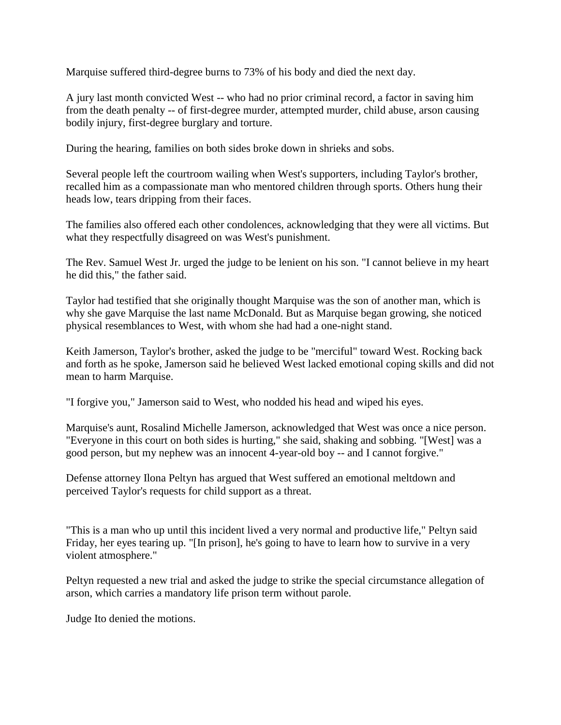Marquise suffered third-degree burns to 73% of his body and died the next day.

A jury last month convicted West -- who had no prior criminal record, a factor in saving him from the death penalty -- of first-degree murder, attempted murder, child abuse, arson causing bodily injury, first-degree burglary and torture.

During the hearing, families on both sides broke down in shrieks and sobs.

Several people left the courtroom wailing when West's supporters, including Taylor's brother, recalled him as a compassionate man who mentored children through sports. Others hung their heads low, tears dripping from their faces.

The families also offered each other condolences, acknowledging that they were all victims. But what they respectfully disagreed on was West's punishment.

The Rev. Samuel West Jr. urged the judge to be lenient on his son. "I cannot believe in my heart he did this," the father said.

Taylor had testified that she originally thought Marquise was the son of another man, which is why she gave Marquise the last name McDonald. But as Marquise began growing, she noticed physical resemblances to West, with whom she had had a one-night stand.

Keith Jamerson, Taylor's brother, asked the judge to be "merciful" toward West. Rocking back and forth as he spoke, Jamerson said he believed West lacked emotional coping skills and did not mean to harm Marquise.

"I forgive you," Jamerson said to West, who nodded his head and wiped his eyes.

Marquise's aunt, Rosalind Michelle Jamerson, acknowledged that West was once a nice person. "Everyone in this court on both sides is hurting," she said, shaking and sobbing. "[West] was a good person, but my nephew was an innocent 4-year-old boy -- and I cannot forgive."

Defense attorney Ilona Peltyn has argued that West suffered an emotional meltdown and perceived Taylor's requests for child support as a threat.

"This is a man who up until this incident lived a very normal and productive life," Peltyn said Friday, her eyes tearing up. "[In prison], he's going to have to learn how to survive in a very violent atmosphere."

Peltyn requested a new trial and asked the judge to strike the special circumstance allegation of arson, which carries a mandatory life prison term without parole.

Judge Ito denied the motions.